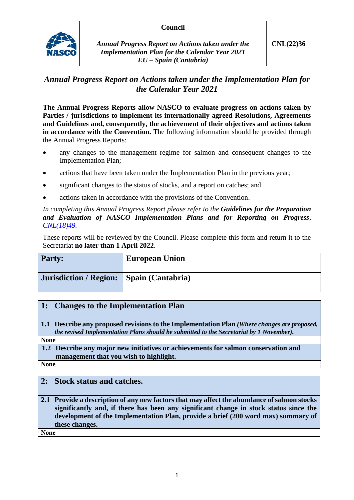### **Council**



*Annual Progress Report on Actions taken under the Implementation Plan for the Calendar Year 2021 EU – Spain (Cantabria)*

# *Annual Progress Report on Actions taken under the Implementation Plan for the Calendar Year 2021*

**The Annual Progress Reports allow NASCO to evaluate progress on actions taken by Parties / jurisdictions to implement its internationally agreed Resolutions, Agreements and Guidelines and, consequently, the achievement of their objectives and actions taken in accordance with the Convention.** The following information should be provided through the Annual Progress Reports:

- any changes to the management regime for salmon and consequent changes to the Implementation Plan;
- actions that have been taken under the Implementation Plan in the previous year;
- significant changes to the status of stocks, and a report on catches; and
- actions taken in accordance with the provisions of the Convention.

*In completing this Annual Progress Report please refer to the Guidelines for the Preparation and Evaluation of NASCO Implementation Plans and for Reporting on Progress, [CNL\(18\)49.](https://nasco.int/wp-content/uploads/2020/02/CNL1849_Guidelines-for-the-Preparation-and-Evaluation-of-NASCO-Implementation-Plans-and-for-Reporting-on-Progress.pdf)*

These reports will be reviewed by the Council. Please complete this form and return it to the Secretariat **no later than 1 April 2022**.

| <b>Party:</b>                              | <b>European Union</b> |
|--------------------------------------------|-----------------------|
| Jurisdiction / Region:   Spain (Cantabria) |                       |

### **1: Changes to the Implementation Plan**

**1.1 Describe any proposed revisions to the Implementation Plan** *(Where changes are proposed, the revised Implementation Plans should be submitted to the Secretariat by 1 November).*

**None**

**1.2 Describe any major new initiatives or achievements for salmon conservation and management that you wish to highlight.**

**None**

### **2: Stock status and catches.**

**2.1 Provide a description of any new factors that may affect the abundance of salmon stocks significantly and, if there has been any significant change in stock status since the development of the Implementation Plan, provide a brief (200 word max) summary of these changes.**

**None**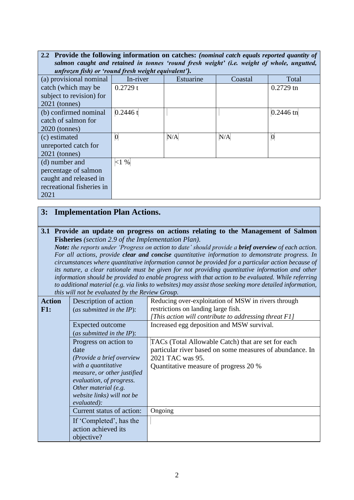| 2.2 Provide the following information on catches: (nominal catch equals reported quantity of |                |           |         |                  |
|----------------------------------------------------------------------------------------------|----------------|-----------|---------|------------------|
| salmon caught and retained in tonnes 'round fresh weight' (i.e. weight of whole, ungutted,   |                |           |         |                  |
| unfrozen fish) or 'round fresh weight equivalent').                                          |                |           |         |                  |
| (a) provisional nominal                                                                      | In-river       | Estuarine | Coastal | Total            |
| catch (which may be                                                                          | 0.2729 t       |           |         | $0.2729$ tn      |
| subject to revision) for                                                                     |                |           |         |                  |
| $2021$ (tonnes)                                                                              |                |           |         |                  |
| (b) confirmed nominal                                                                        | 0.2446 t       |           |         | $0.2446$ tn      |
| catch of salmon for                                                                          |                |           |         |                  |
| $2020$ (tonnes)                                                                              |                |           |         |                  |
| (c) estimated                                                                                | $\overline{0}$ | N/A       | N/A     | $\boldsymbol{0}$ |
| unreported catch for                                                                         |                |           |         |                  |
| $2021$ (tonnes)                                                                              |                |           |         |                  |
| (d) number and                                                                               | <1%            |           |         |                  |
| percentage of salmon                                                                         |                |           |         |                  |
| caught and released in                                                                       |                |           |         |                  |
| recreational fisheries in                                                                    |                |           |         |                  |
| 2021                                                                                         |                |           |         |                  |

## **3: Implementation Plan Actions.**

**3.1 Provide an update on progress on actions relating to the Management of Salmon Fisheries** *(section 2.9 of the Implementation Plan).*

*Note: the reports under 'Progress on action to date' should provide a brief overview of each action. For all actions, provide clear and concise quantitative information to demonstrate progress. In circumstances where quantitative information cannot be provided for a particular action because of its nature, a clear rationale must be given for not providing quantitative information and other information should be provided to enable progress with that action to be evaluated. While referring to additional material (e.g. via links to websites) may assist those seeking more detailed information, this will not be evaluated by the Review Group.*

| <b>Action</b><br>F1: | Description of action<br>(as submitted in the $IP$ ):<br>Expected outcome<br>(as submitted in the $IP$ ):                                                                                                         | Reducing over-exploitation of MSW in rivers through<br>restrictions on landing large fish.<br>[This action will contribute to addressing threat F1]<br>Increased egg deposition and MSW survival. |
|----------------------|-------------------------------------------------------------------------------------------------------------------------------------------------------------------------------------------------------------------|---------------------------------------------------------------------------------------------------------------------------------------------------------------------------------------------------|
|                      | Progress on action to<br>date<br>(Provide a brief overview<br>with a quantitative<br>measure, or other justified<br>evaluation, of progress.<br>Other material (e.g.<br>website links) will not be<br>evaluated): | TACs (Total Allowable Catch) that are set for each<br>particular river based on some measures of abundance. In<br>2021 TAC was 95.<br>Quantitative measure of progress 20 %                       |
|                      | Current status of action:<br>If 'Completed', has the<br>action achieved its<br>objective?                                                                                                                         | Ongoing                                                                                                                                                                                           |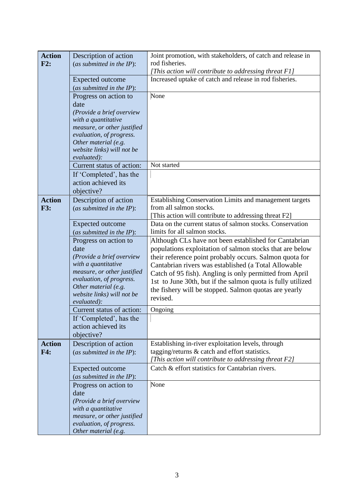| <b>Action</b> | Description of action                              | Joint promotion, with stakeholders, of catch and release in                                                        |
|---------------|----------------------------------------------------|--------------------------------------------------------------------------------------------------------------------|
| F2:           | (as submitted in the $IP$ ):                       | rod fisheries.                                                                                                     |
|               |                                                    | [This action will contribute to addressing threat F1]                                                              |
|               | <b>Expected outcome</b>                            | Increased uptake of catch and release in rod fisheries.                                                            |
|               | (as submitted in the $IP$ ):                       |                                                                                                                    |
|               | Progress on action to                              | None                                                                                                               |
|               | date                                               |                                                                                                                    |
|               | (Provide a brief overview                          |                                                                                                                    |
|               | with a quantitative                                |                                                                                                                    |
|               | measure, or other justified                        |                                                                                                                    |
|               | evaluation, of progress.                           |                                                                                                                    |
|               | Other material (e.g.                               |                                                                                                                    |
|               | website links) will not be                         |                                                                                                                    |
|               | evaluated):<br>Current status of action:           | Not started                                                                                                        |
|               |                                                    |                                                                                                                    |
|               | If 'Completed', has the                            |                                                                                                                    |
|               | action achieved its                                |                                                                                                                    |
|               | objective?                                         |                                                                                                                    |
| <b>Action</b> | Description of action                              | Establishing Conservation Limits and management targets                                                            |
| <b>F3:</b>    | (as submitted in the $IP$ ):                       | from all salmon stocks.                                                                                            |
|               |                                                    | [This action will contribute to addressing threat F2]<br>Data on the current status of salmon stocks. Conservation |
|               | Expected outcome                                   | limits for all salmon stocks.                                                                                      |
|               | (as submitted in the $IP$ ):                       |                                                                                                                    |
|               | Progress on action to<br>date                      | Although CLs have not been established for Cantabrian<br>populations exploitation of salmon stocks that are below  |
|               | (Provide a brief overview                          | their reference point probably occurs. Salmon quota for                                                            |
|               | with a quantitative                                | Cantabrian rivers was established (a Total Allowable                                                               |
|               | measure, or other justified                        | Catch of 95 fish). Angling is only permitted from April                                                            |
|               | evaluation, of progress.                           | 1st to June 30th, but if the salmon quota is fully utilized                                                        |
|               | Other material (e.g.                               | the fishery will be stopped. Salmon quotas are yearly                                                              |
|               | website links) will not be                         | revised.                                                                                                           |
|               | evaluated):                                        |                                                                                                                    |
|               | Current status of action:                          | Ongoing                                                                                                            |
|               | If 'Completed', has the                            |                                                                                                                    |
|               | action achieved its                                |                                                                                                                    |
|               | objective?                                         |                                                                                                                    |
| <b>Action</b> | Description of action                              | Establishing in-river exploitation levels, through                                                                 |
| F4:           | (as submitted in the $IP$ ):                       | tagging/returns & catch and effort statistics.                                                                     |
|               |                                                    | [This action will contribute to addressing threat F2]                                                              |
|               | Expected outcome                                   | Catch & effort statistics for Cantabrian rivers.                                                                   |
|               | (as submitted in the $IP$ ):                       |                                                                                                                    |
|               | Progress on action to                              | None                                                                                                               |
|               | date                                               |                                                                                                                    |
|               | (Provide a brief overview                          |                                                                                                                    |
|               | with a quantitative<br>measure, or other justified |                                                                                                                    |
|               | evaluation, of progress.                           |                                                                                                                    |
|               | Other material (e.g.                               |                                                                                                                    |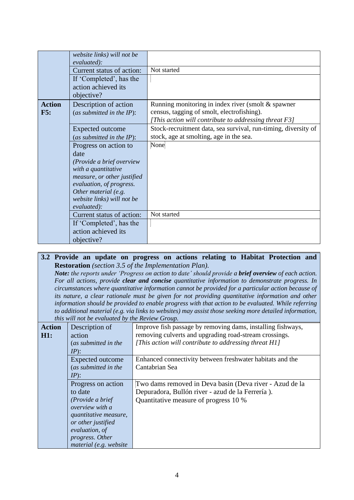|               | website links) will not be  |                                                                |
|---------------|-----------------------------|----------------------------------------------------------------|
|               | evaluated):                 |                                                                |
|               |                             |                                                                |
|               | Current status of action:   | Not started                                                    |
|               | If 'Completed', has the     |                                                                |
|               | action achieved its         |                                                                |
|               | objective?                  |                                                                |
| <b>Action</b> | Description of action       | Running monitoring in index river (smolt & spawner             |
| F5:           | (as submitted in the IP):   | census, tagging of smolt, electrofishing).                     |
|               |                             | [This action will contribute to addressing threat F3]          |
|               | <b>Expected outcome</b>     | Stock-recruitment data, sea survival, run-timing, diversity of |
|               |                             | stock, age at smolting, age in the sea.                        |
|               | (as submitted in the IP):   |                                                                |
|               | Progress on action to       | None                                                           |
|               | date                        |                                                                |
|               | (Provide a brief overview   |                                                                |
|               | with a quantitative         |                                                                |
|               | measure, or other justified |                                                                |
|               | evaluation, of progress.    |                                                                |
|               | Other material (e.g.        |                                                                |
|               | website links) will not be  |                                                                |
|               | evaluated):                 |                                                                |
|               | Current status of action:   | Not started                                                    |
|               | If 'Completed', has the     |                                                                |
|               | action achieved its         |                                                                |
|               |                             |                                                                |
|               | objective?                  |                                                                |

#### **3.2 Provide an update on progress on actions relating to Habitat Protection and Restoration** *(section 3.5 of the Implementation Plan).*

*Note: the reports under 'Progress on action to date' should provide a brief overview of each action. For all actions, provide clear and concise quantitative information to demonstrate progress. In circumstances where quantitative information cannot be provided for a particular action because of its nature, a clear rationale must be given for not providing quantitative information and other information should be provided to enable progress with that action to be evaluated. While referring to additional material (e.g. via links to websites) may assist those seeking more detailed information, this will not be evaluated by the Review Group.*

|               | this will not be evaluated by the Review Group. |                                                             |
|---------------|-------------------------------------------------|-------------------------------------------------------------|
| <b>Action</b> | Description of                                  | Improve fish passage by removing dams, installing fishways, |
| H1:           | action                                          | removing culverts and upgrading road-stream crossings.      |
|               | (as submitted in the                            | [This action will contribute to addressing threat H1]       |
|               | $IP$ :                                          |                                                             |
|               | Expected outcome                                | Enhanced connectivity between freshwater habitats and the   |
|               | (as submitted in the                            | Cantabrian Sea                                              |
|               | $IP$ :                                          |                                                             |
|               | Progress on action                              | Two dams removed in Deva basin (Deva river - Azud de la     |
|               | to date                                         | Depuradora, Bullón river - azud de la Ferrería).            |
|               | (Provide a brief                                | Quantitative measure of progress 10 %                       |
|               | overview with a                                 |                                                             |
|               | quantitative measure,                           |                                                             |
|               | or other justified                              |                                                             |
|               | evaluation, of                                  |                                                             |
|               | progress. Other                                 |                                                             |
|               | material (e.g. website                          |                                                             |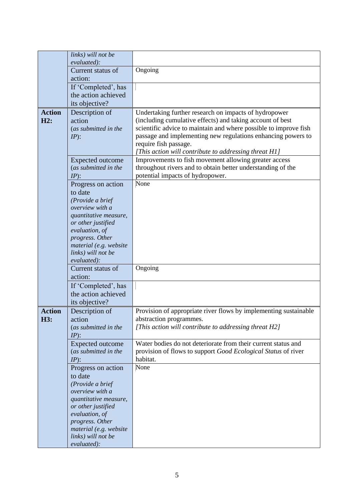|               | links) will not be<br>evaluated):         |                                                                                                                |
|---------------|-------------------------------------------|----------------------------------------------------------------------------------------------------------------|
|               | Current status of                         | Ongoing                                                                                                        |
|               | action:                                   |                                                                                                                |
|               | If 'Completed', has                       |                                                                                                                |
|               | the action achieved                       |                                                                                                                |
|               | its objective?                            |                                                                                                                |
| <b>Action</b> | Description of                            | Undertaking further research on impacts of hydropower                                                          |
| H2:           | action                                    | (including cumulative effects) and taking account of best                                                      |
|               | (as submitted in the                      | scientific advice to maintain and where possible to improve fish                                               |
|               | $IP$ :                                    | passage and implementing new regulations enhancing powers to                                                   |
|               |                                           | require fish passage.                                                                                          |
|               | <b>Expected outcome</b>                   | [This action will contribute to addressing threat H1]<br>Improvements to fish movement allowing greater access |
|               | (as submitted in the                      | throughout rivers and to obtain better understanding of the                                                    |
|               | $IP$ :                                    | potential impacts of hydropower.                                                                               |
|               | Progress on action                        | None                                                                                                           |
|               | to date                                   |                                                                                                                |
|               | (Provide a brief                          |                                                                                                                |
|               | overview with a                           |                                                                                                                |
|               | quantitative measure,                     |                                                                                                                |
|               | or other justified<br>evaluation, of      |                                                                                                                |
|               | progress. Other                           |                                                                                                                |
|               | material (e.g. website                    |                                                                                                                |
|               | links) will not be                        |                                                                                                                |
|               | evaluated):                               |                                                                                                                |
|               | Current status of<br>action:              | Ongoing                                                                                                        |
|               | If 'Completed', has                       |                                                                                                                |
|               | the action achieved                       |                                                                                                                |
|               | its objective?                            |                                                                                                                |
| <b>Action</b> | Description of                            | Provision of appropriate river flows by implementing sustainable                                               |
| H3:           | action                                    | abstraction programmes.                                                                                        |
|               | (as submitted in the                      | [This action will contribute to addressing threat H2]                                                          |
|               | $IP)$ :                                   |                                                                                                                |
|               | <b>Expected outcome</b>                   | Water bodies do not deteriorate from their current status and                                                  |
|               | (as submitted in the                      | provision of flows to support Good Ecological Status of river<br>habitat.                                      |
|               | $IP)$ :<br>Progress on action             | None                                                                                                           |
|               | to date                                   |                                                                                                                |
|               | (Provide a brief                          |                                                                                                                |
|               | overview with a                           |                                                                                                                |
|               | quantitative measure,                     |                                                                                                                |
|               | or other justified                        |                                                                                                                |
|               | evaluation, of                            |                                                                                                                |
|               | progress. Other<br>material (e.g. website |                                                                                                                |
|               | links) will not be                        |                                                                                                                |
|               | evaluated):                               |                                                                                                                |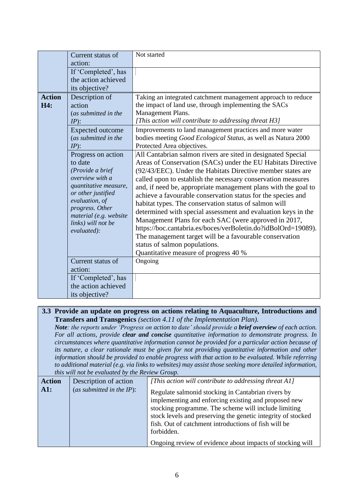|               | Current status of                 | Not started                                                    |
|---------------|-----------------------------------|----------------------------------------------------------------|
|               | action:                           |                                                                |
|               | If 'Completed', has               |                                                                |
|               | the action achieved               |                                                                |
|               | its objective?                    |                                                                |
| <b>Action</b> | Description of                    | Taking an integrated catchment management approach to reduce   |
| H4:           | action                            | the impact of land use, through implementing the SACs          |
|               | (as submitted in the              | Management Plans.                                              |
|               | $IP$ :                            | [This action will contribute to addressing threat H3]          |
|               | <b>Expected outcome</b>           | Improvements to land management practices and more water       |
|               | (as submitted in the              | bodies meeting Good Ecological Status, as well as Natura 2000  |
|               | $IP$ :                            | Protected Area objectives.                                     |
|               | Progress on action                | All Cantabrian salmon rivers are sited in designated Special   |
|               | to date                           | Areas of Conservation (SACs) under the EU Habitats Directive   |
|               | (Provide a brief                  | (92/43/EEC). Under the Habitats Directive member states are    |
|               | overview with a                   | called upon to establish the necessary conservation measures   |
|               | quantitative measure,             | and, if need be, appropriate management plans with the goal to |
|               | or other justified                | achieve a favourable conservation status for the species and   |
|               | evaluation, of<br>progress. Other | habitat types. The conservation status of salmon will          |
|               | material (e.g. website            | determined with special assessment and evaluation keys in the  |
|               | links) will not be                | Management Plans for each SAC (were approved in 2017,          |
|               | evaluated):                       | https://boc.cantabria.es/boces/verBoletin.do?idBolOrd=19089).  |
|               |                                   | The management target will be a favourable conservation        |
|               |                                   | status of salmon populations.                                  |
|               |                                   | Quantitative measure of progress 40 %                          |
|               | Current status of                 | Ongoing                                                        |
|               | action:                           |                                                                |
|               | If 'Completed', has               |                                                                |
|               | the action achieved               |                                                                |
|               | its objective?                    |                                                                |

#### **3.3 Provide an update on progress on actions relating to Aquaculture, Introductions and Transfers and Transgenics** *(section 4.11 of the Implementation Plan).*

*Note: the reports under 'Progress on action to date' should provide a brief overview of each action. For all actions, provide clear and concise quantitative information to demonstrate progress. In circumstances where quantitative information cannot be provided for a particular action because of its nature, a clear rationale must be given for not providing quantitative information and other information should be provided to enable progress with that action to be evaluated. While referring to additional material (e.g. via links to websites) may assist those seeking more detailed information, this will not be evaluated by the Review Group.*

| <b>Action</b>   | Description of action        | [This action will contribute to addressing threat A1]                                                                                                                                                                                                                                                                                                                 |
|-----------------|------------------------------|-----------------------------------------------------------------------------------------------------------------------------------------------------------------------------------------------------------------------------------------------------------------------------------------------------------------------------------------------------------------------|
| $\mathbf{A}$ 1: | (as submitted in the $IP$ ): | Regulate salmonid stocking in Cantabrian rivers by<br>implementing and enforcing existing and proposed new<br>stocking programme. The scheme will include limiting<br>stock levels and preserving the genetic integrity of stocked<br>fish. Out of catchment introductions of fish will be<br>forbidden.<br>Ongoing review of evidence about impacts of stocking will |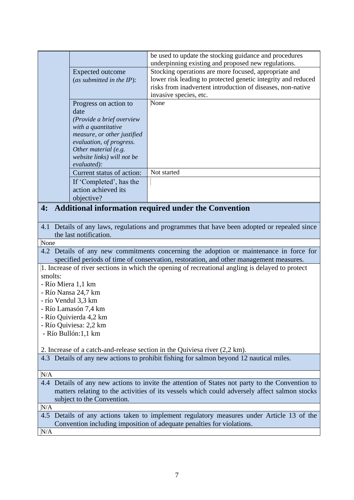|                    |                                                         | be used to update the stocking guidance and procedures                                                                                                                           |
|--------------------|---------------------------------------------------------|----------------------------------------------------------------------------------------------------------------------------------------------------------------------------------|
|                    | <b>Expected outcome</b>                                 | underpinning existing and proposed new regulations.<br>Stocking operations are more focused, appropriate and                                                                     |
|                    | (as submitted in the $IP$ ):                            | lower risk leading to protected genetic integrity and reduced                                                                                                                    |
|                    |                                                         | risks from inadvertent introduction of diseases, non-native                                                                                                                      |
|                    |                                                         | invasive species, etc.                                                                                                                                                           |
|                    | Progress on action to                                   | None                                                                                                                                                                             |
|                    | date                                                    |                                                                                                                                                                                  |
|                    | (Provide a brief overview                               |                                                                                                                                                                                  |
|                    | with a quantitative                                     |                                                                                                                                                                                  |
|                    | measure, or other justified<br>evaluation, of progress. |                                                                                                                                                                                  |
|                    | Other material (e.g.                                    |                                                                                                                                                                                  |
|                    | website links) will not be                              |                                                                                                                                                                                  |
|                    | evaluated):                                             |                                                                                                                                                                                  |
|                    | Current status of action:                               | Not started                                                                                                                                                                      |
|                    | If 'Completed', has the                                 |                                                                                                                                                                                  |
|                    | action achieved its                                     |                                                                                                                                                                                  |
|                    | objective?                                              |                                                                                                                                                                                  |
| 4:                 |                                                         | <b>Additional information required under the Convention</b>                                                                                                                      |
|                    |                                                         |                                                                                                                                                                                  |
|                    |                                                         | 4.1 Details of any laws, regulations and programmes that have been adopted or repealed since                                                                                     |
|                    | the last notification.                                  |                                                                                                                                                                                  |
| None               |                                                         |                                                                                                                                                                                  |
|                    |                                                         | 4.2 Details of any new commitments concerning the adoption or maintenance in force for<br>specified periods of time of conservation, restoration, and other management measures. |
|                    |                                                         | 1. Increase of river sections in which the opening of recreational angling is delayed to protect                                                                                 |
| smolts:            |                                                         |                                                                                                                                                                                  |
| - Río Miera 1,1 km |                                                         |                                                                                                                                                                                  |
|                    | - Río Nansa 24,7 km                                     |                                                                                                                                                                                  |
|                    | - río Vendul 3,3 km                                     |                                                                                                                                                                                  |
|                    | - Río Lamasón 7,4 km                                    |                                                                                                                                                                                  |
|                    | - Río Quivierda 4,2 km                                  |                                                                                                                                                                                  |
|                    | - Río Quiviesa: 2,2 km                                  |                                                                                                                                                                                  |
|                    | - Río Bullón:1,1 km                                     |                                                                                                                                                                                  |
|                    |                                                         | 2. Increase of a catch-and-release section in the Quiviesa river $(2,2 \text{ km})$ .                                                                                            |
|                    |                                                         | 4.3 Details of any new actions to prohibit fishing for salmon beyond 12 nautical miles.                                                                                          |
|                    |                                                         |                                                                                                                                                                                  |
| N/A                |                                                         |                                                                                                                                                                                  |
|                    |                                                         | 4.4 Details of any new actions to invite the attention of States not party to the Convention to                                                                                  |
|                    |                                                         | matters relating to the activities of its vessels which could adversely affect salmon stocks                                                                                     |
|                    | subject to the Convention.                              |                                                                                                                                                                                  |
| N/A                |                                                         |                                                                                                                                                                                  |
|                    |                                                         | 4.5 Details of any actions taken to implement regulatory measures under Article 13 of the                                                                                        |
|                    |                                                         | Convention including imposition of adequate penalties for violations.                                                                                                            |
| N/A                |                                                         |                                                                                                                                                                                  |